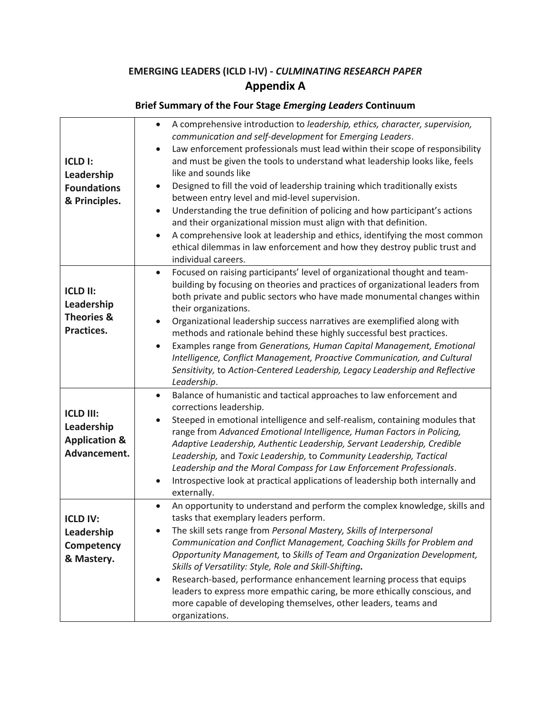## **EMERGING LEADERS (ICLD I-IV) -** *CULMINATING RESEARCH PAPER* **Appendix A**

| <b>ICLD I:</b><br>Leadership<br><b>Foundations</b><br>& Principles.        | A comprehensive introduction to leadership, ethics, character, supervision,<br>$\bullet$<br>communication and self-development for Emerging Leaders.<br>Law enforcement professionals must lead within their scope of responsibility<br>$\bullet$<br>and must be given the tools to understand what leadership looks like, feels<br>like and sounds like<br>Designed to fill the void of leadership training which traditionally exists<br>$\bullet$<br>between entry level and mid-level supervision.<br>Understanding the true definition of policing and how participant's actions<br>$\bullet$<br>and their organizational mission must align with that definition.<br>A comprehensive look at leadership and ethics, identifying the most common<br>$\bullet$<br>ethical dilemmas in law enforcement and how they destroy public trust and<br>individual careers. |
|----------------------------------------------------------------------------|------------------------------------------------------------------------------------------------------------------------------------------------------------------------------------------------------------------------------------------------------------------------------------------------------------------------------------------------------------------------------------------------------------------------------------------------------------------------------------------------------------------------------------------------------------------------------------------------------------------------------------------------------------------------------------------------------------------------------------------------------------------------------------------------------------------------------------------------------------------------|
| <b>ICLD II:</b><br>Leadership<br><b>Theories &amp;</b><br>Practices.       | Focused on raising participants' level of organizational thought and team-<br>$\bullet$<br>building by focusing on theories and practices of organizational leaders from<br>both private and public sectors who have made monumental changes within<br>their organizations.<br>Organizational leadership success narratives are exemplified along with<br>methods and rationale behind these highly successful best practices.<br>Examples range from Generations, Human Capital Management, Emotional<br>$\bullet$<br>Intelligence, Conflict Management, Proactive Communication, and Cultural<br>Sensitivity, to Action-Centered Leadership, Legacy Leadership and Reflective<br>Leadership.                                                                                                                                                                         |
| <b>ICLD III:</b><br>Leadership<br><b>Application &amp;</b><br>Advancement. | Balance of humanistic and tactical approaches to law enforcement and<br>$\bullet$<br>corrections leadership.<br>Steeped in emotional intelligence and self-realism, containing modules that<br>range from Advanced Emotional Intelligence, Human Factors in Policing,<br>Adaptive Leadership, Authentic Leadership, Servant Leadership, Credible<br>Leadership, and Toxic Leadership, to Community Leadership, Tactical<br>Leadership and the Moral Compass for Law Enforcement Professionals.<br>Introspective look at practical applications of leadership both internally and<br>externally.                                                                                                                                                                                                                                                                        |
| <b>ICLD IV:</b><br>Leadership<br>Competency<br>& Mastery.                  | An opportunity to understand and perform the complex knowledge, skills and<br>$\bullet$<br>tasks that exemplary leaders perform.<br>The skill sets range from Personal Mastery, Skills of Interpersonal<br>Communication and Conflict Management, Coaching Skills for Problem and<br>Opportunity Management, to Skills of Team and Organization Development,<br>Skills of Versatility: Style, Role and Skill-Shifting.<br>Research-based, performance enhancement learning process that equips<br>$\bullet$<br>leaders to express more empathic caring, be more ethically conscious, and<br>more capable of developing themselves, other leaders, teams and<br>organizations.                                                                                                                                                                                          |

## **Brief Summary of the Four Stage** *Emerging Leaders* **Continuum**